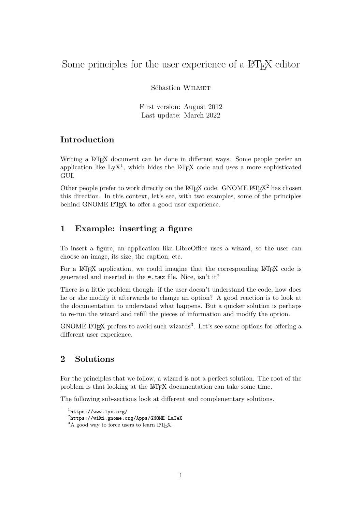# Some principles for the user experience of a LAT<sub>EX</sub> editor

Sébastien Wilmet

First version: August 2012 Last update: March 2022

## **Introduction**

Writing a LAT<sub>EX</sub> document can be done in different ways. Some people prefer an application like  $LyX<sup>1</sup>$  $LyX<sup>1</sup>$  $LyX<sup>1</sup>$ , which hides the L<sup>AT</sup>EX code and uses a more sophisticated GUI.

Other people prefer to work directly on the  $\mathbb{A}T\mathbb{F}X$  code. GNOME  $\mathbb{A}T\mathbb{F}X^2$  $\mathbb{A}T\mathbb{F}X^2$  has chosen this direction. In this context, let's see, with two examples, some of the principles behind GNOME LAT<sub>EX</sub> to offer a good user experience.

## **1 Example: inserting a figure**

To insert a figure, an application like LibreOffice uses a wizard, so the user can choose an image, its size, the caption, etc.

For a LAT<sub>EX</sub> application, we could imagine that the corresponding LAT<sub>EX</sub> code is generated and inserted in the \*.tex file. Nice, isn't it?

There is a little problem though: if the user doesn't understand the code, how does he or she modify it afterwards to change an option? A good reaction is to look at the documentation to understand what happens. But a quicker solution is perhaps to re-run the wizard and refill the pieces of information and modify the option.

GNOME LAT<sub>E</sub>X prefers to avoid such wizards<sup>[3](#page-0-2)</sup>. Let's see some options for offering a different user experience.

## **2 Solutions**

For the principles that we follow, a wizard is not a perfect solution. The root of the problem is that looking at the LATEX documentation can take some time.

The following sub-sections look at different and complementary solutions.

<span id="page-0-0"></span><sup>1</sup> <https://www.lyx.org/>

<span id="page-0-1"></span> $^{2}$ <https://wiki.gnome.org/Apps/GNOME-LaTeX>

<span id="page-0-2"></span> $3A$  good way to force users to learn LAT<sub>E</sub>X.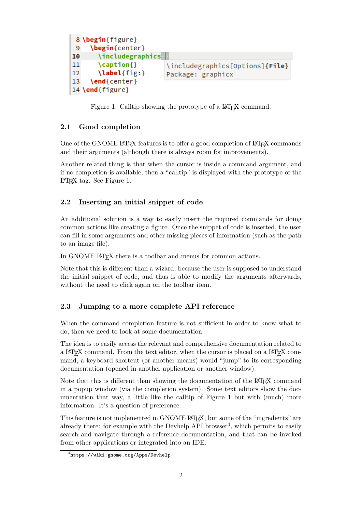```
8 \begin{figure}
 9
     \begin{center}
       \includegraphics
10
       \mathcal{C}aption\{\}11\includegraphics[Options]{File}
12\label{fig:}
                           Package: graphicx
13
     \end{center}
14 \end{figure}
```
<span id="page-1-0"></span>Figure 1: Calltip showing the prototype of a LAT<sub>EX</sub> command.

#### **2.1 Good completion**

One of the GNOME LATEX features is to offer a good completion of LATEX commands and their arguments (although there is always room for improvements).

Another related thing is that when the cursor is inside a command argument, and if no completion is available, then a "calltip" is displayed with the prototype of the LATEX tag. See Figure [1.](#page-1-0)

#### <span id="page-1-2"></span>**2.2 Inserting an initial snippet of code**

An additional solution is a way to easily insert the required commands for doing common actions like creating a figure. Once the snippet of code is inserted, the user can fill in some arguments and other missing pieces of information (such as the path to an image file).

In GNOME LATEX there is a toolbar and menus for common actions.

Note that this is different than a wizard, because the user is supposed to understand the initial snippet of code, and thus is able to modify the arguments afterwards, without the need to click again on the toolbar item.

#### **2.3 Jumping to a more complete API reference**

When the command completion feature is not sufficient in order to know what to do, then we need to look at some documentation.

The idea is to easily access the relevant and comprehensive documentation related to a LATEX command. From the text editor, when the cursor is placed on a LATEX command, a keyboard shortcut (or another means) would "jump" to its corresponding documentation (opened in another application or another window).

Note that this is different than showing the documentation of the L<sup>A</sup>T<sub>E</sub>X command in a popup window (via the completion system). Some text editors show the documentation that way, a little like the calltip of Figure [1](#page-1-0) but with (much) more information. It's a question of preference.

This feature is not implemented in GNOME LATEX, but some of the "ingredients" are already there: for example with the Devhelp API browser<sup>[4](#page-1-1)</sup>, which permits to easily search and navigate through a reference documentation, and that can be invoked from other applications or integrated into an IDE.

<span id="page-1-1"></span><sup>4</sup> <https://wiki.gnome.org/Apps/Devhelp>